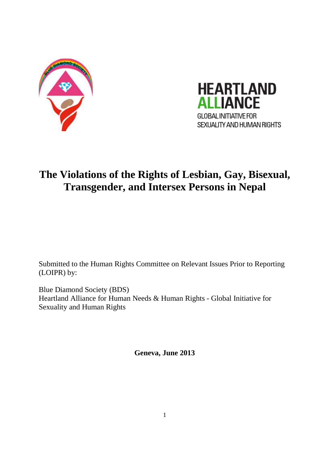



# **The Violations of the Rights of Lesbian, Gay, Bisexual, Transgender, and Intersex Persons in Nepal**

Submitted to the Human Rights Committee on Relevant Issues Prior to Reporting (LOIPR) by:

Blue Diamond Society (BDS) Heartland Alliance for Human Needs & Human Rights - Global Initiative for Sexuality and Human Rights

**Geneva, June 2013**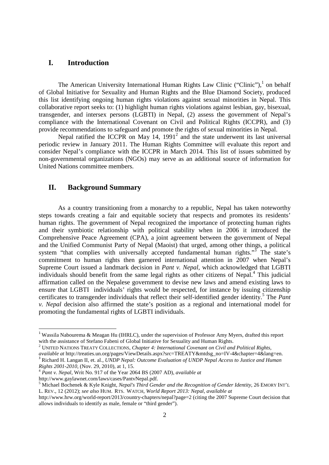### **I. Introduction**

The American University International Human Rights Law Clinic  $("Clinic")$ , on behalf of Global Initiative for Sexuality and Human Rights and the Blue Diamond Society, produced this list identifying ongoing human rights violations against sexual minorities in Nepal. This collaborative report seeks to: (1) highlight human rights violations against lesbian, gay, bisexual, transgender, and intersex persons (LGBTI) in Nepal, (2) assess the government of Nepal's compliance with the International Covenant on Civil and Political Rights (ICCPR), and (3) provide recommendations to safeguard and promote the rights of sexual minorities in Nepal.

Nepal ratified the ICCPR on May  $14$ ,  $1991<sup>2</sup>$  and the state underwent its last universal periodic review in January 2011. The Human Rights Committee will evaluate this report and consider Nepal's compliance with the ICCPR in March 2014. This list of issues submitted by non-governmental organizations (NGOs) may serve as an additional source of information for United Nations committee members.

# **II. Background Summary**

 As a country transitioning from a monarchy to a republic, Nepal has taken noteworthy steps towards creating a fair and equitable society that respects and promotes its residents' human rights. The government of Nepal recognized the importance of protecting human rights and their symbiotic relationship with political stability when in 2006 it introduced the Comprehensive Peace Agreement (CPA), a joint agreement between the government of Nepal and the Unified Communist Party of Nepal (Maoist) that urged, among other things, a political system "that complies with universally accepted fundamental human rights."<sup>3</sup> The state's commitment to human rights then garnered international attention in 2007 when Nepal's Supreme Court issued a landmark decision in *Pant v. Nepal*, which acknowledged that LGBTI individuals should benefit from the same legal rights as other citizens of Nepal.<sup>4</sup> This judicial affirmation called on the Nepalese government to devise new laws and amend existing laws to ensure that LGBTI individuals' rights would be respected, for instance by issuing citizenship certificates to transgender individuals that reflect their self-identified gender identity.<sup>5</sup> The *Pant v. Nepal* decision also affirmed the state's position as a regional and international model for promoting the fundamental rights of LGBTI individuals.

*Rights 2001-2010*, (Nov. 29, 2010), at 1, 15.

<u>.</u>

http://www.gaylawnet.com/laws/cases/PantvNepal.pdf.

<sup>&</sup>lt;sup>1</sup> Wassila Nabourema & Meagan Hu (IHRLC), under the supervision of Professor Amy Myers, drafted this report with the assistance of Stefano Fabeni of Global Initiative for Sexuality and Human Rights.

<sup>2</sup> UNITED NATIONS TREATY COLLECTIONS, *Chapter 4: International Covenant on Civil and Political Rights, available at* http://treaties.un.org/pages/ViewDetails.aspx?src=TREATY&mtdsg\_no=IV-4&chapter=4&lang=en. <sup>3</sup> Richard H. Langan II, et. al., *UNDP Nepal: Outcome Evaluation of UNDP Nepal Access to Justice and Human* 

<sup>4</sup> *Pant v. Nepal*, Writ No. 917 of the Year 2064 BS (2007 AD), *available at*

<sup>5</sup> Michael Bochenek & Kyle Knight, *Nepal's Third Gender and the Recognition of Gender Identity*, 26 EMORY INT'L L. REV., 12 (2012); *see also* HUM. RTS. WATCH*, World Report 2013: Nepal*, *available at*

http://www.hrw.org/world-report/2013/country-chapters/nepal?page=2 (citing the 2007 Supreme Court decision that allows individuals to identify as male, female or "third gender").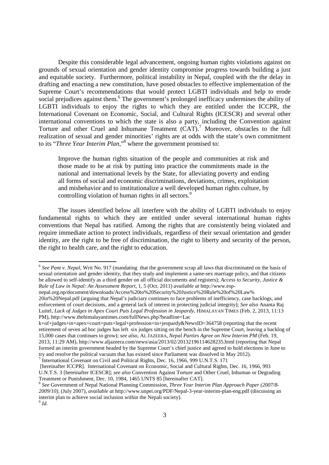Despite this considerable legal advancement, ongoing human rights violations against on grounds of sexual orientation and gender identity compromise progress towards building a just and equitable society. Furthermore, political instability in Nepal, coupled with the the delay in drafting and enacting a new constitution, have posed obstacles to effective implementation of the Supreme Court's recommendations that would protect LGBTI individuals and help to erode social prejudices against them.<sup>6</sup> The government's prolonged inefficacy undermines the ability of LGBTI individuals to enjoy the rights to which they are entitled under the ICCPR, the International Covenant on Economic, Social, and Cultural Rights (ICESCR) and several other international conventions to which the state is also a party, including the Convention against Torture and other Cruel and Inhumane Treatment  $(CAT)$ .<sup>7</sup> Moreover, obstacles to the full realization of sexual and gender minorities' rights are at odds with the state's own commitment to its "*Three Year Interim Plan*,"<sup>8</sup> where the government promised to:

Improve the human rights situation of the people and communities at risk and those made to be at risk by putting into practice the commitments made in the national and international levels by the State, for alleviating poverty and ending all forms of social and economic discriminations, deviations, crimes, exploitation and misbehavior and to institutionalize a well developed human rights culture, by controlling violation of human rights in all sectors.<sup>9</sup>

 The issues identified below all interfere with the ability of LGBTI individuals to enjoy fundamental rights to which they are entitled under several international human rights conventions that Nepal has ratified. Among the rights that are consistently being violated and require immediate action to protect individuals, regardless of their sexual orientation and gender identity, are the right to be free of discrimination, the right to liberty and security of the person, the right to health care, and the right to education.

.<br>-

<sup>&</sup>lt;sup>6</sup> See Pant v. Nepal, Writ No. 917 (mandating that the government scrap all laws that discriminated on the basis of sexual orientation and gender identity, that they study and implement a same-sex marriage policy, and that citizens be allowed to self-identify as a third gender on all official documents and registers); *Access to Security, Justice & Rule of Law in Nepal: An Assessment Report*, 1, 5 (Oct. 2011) *available at* http://www.esp-

nepal.org.np/document/downloads/Access%20to%20Security%20Justice%20Rule%20of%20Law% 20in%20Nepal.pdf (arguing that Nepal's judiciary continues to face problems of inefficiency, case backlogs, and enforcement of court decisions, and a general lack of interest in protecting judicial integrity); *See also* Ananta Raj Luitel, *Lack of Judges in Apex Court Puts Legal Profession in Jeopardy*, HIMALAYAN TIMES (Feb. 2, 2013, 11:13 PM), http://www.thehimalayantimes.com/fullNews.php?headline=Lac

k+of+judges+in+apex+court+puts+legal+profession+in+jeopardy&NewsID=364758 (reporting that the recent retirement of seven ad hoc judges has left six judges sitting on the bench in the Supreme Court, leaving a backlog of 15,000 cases that continues to grow); *see also*, AL JAZEERA, *Nepal Parties Agree on New Interim PM* (Feb. 19, 2013, 11:29 AM), http://www.aljazeera.com/news/asia/2013/02/20132196114628235.html (reporting that Nepal formed an interim government headed by the Supreme Court's chief justice and agreed to hold elections in June to try and resolve the political vacuum that has existed since Parliament was dissolved in May 2012). <sup>7</sup> International Covenant on Civil and Political Rights, Dec. 16, 1966, 999 U.N.T.S. 171

 <sup>[</sup>hereinafter ICCPR]. International Covenant on Economic, Social and Cultural Rights, Dec. 16, 1966, 993 U.N.T.S. 3 [hereinafter ICESCR]; *see also* Convention Against Torture and Other Cruel, Inhuman or Degrading Treatment or Punishment, Dec. 10, 1984, 1465 UNTS 85 [hereinafter CAT].

<sup>8</sup> *See* Government of Nepal National Planning Commission, *Three Year Interim Plan Approach Paper (2007/8- 2009/10)*, (July 2007), *available at* http://www.unpei.org/PDF/Nepal-3-year-interim-plan-eng.pdf (discussing an interim plan to achieve social inclusion within the Nepali society).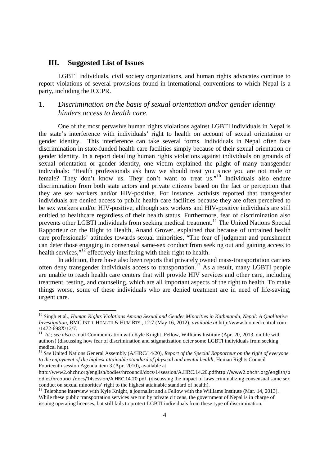### **III. Suggested List of Issues**

<u>.</u>

LGBTI individuals, civil society organizations, and human rights advocates continue to report violations of several provisions found in international conventions to which Nepal is a party, including the ICCPR.

# 1. *Discrimination on the basis of sexual orientation and/or gender identity hinders access to health care.*

One of the most pervasive human rights violations against LGBTI individuals in Nepal is the state's interference with individuals' right to health on account of sexual orientation or gender identity. This interference can take several forms. Individuals in Nepal often face discrimination in state-funded health care facilities simply because of their sexual orientation or gender identity. In a report detailing human rights violations against individuals on grounds of sexual orientation or gender identity, one victim explained the plight of many transgender individuals: "Health professionals ask how we should treat you since you are not male or female? They don't know us. They don't want to treat us."<sup>10</sup> Individuals also endure discrimination from both state actors and private citizens based on the fact or perception that they are sex workers and/or HIV-positive. For instance, activists reported that transgender individuals are denied access to public health care facilities because they are often perceived to be sex workers and/or HIV-positive, although sex workers and HIV-positive individuals are still entitled to healthcare regardless of their health status. Furthermore, fear of discrimination also prevents other LGBTI individuals from seeking medical treatment.<sup>11</sup> The United Nations Special Rapporteur on the Right to Health, Anand Grover, explained that because of untrained health care professionals' attitudes towards sexual minorities, "The fear of judgment and punishment can deter those engaging in consensual same-sex conduct from seeking out and gaining access to health services,"<sup>12</sup> effectively interfering with their right to health.

In addition, there have also been reports that privately owned mass-transportation carriers often deny transgender individuals access to transportation.<sup>13</sup> As a result, many LGBTI people are unable to reach health care centers that will provide HIV services and other care, including treatment, testing, and counseling, which are all important aspects of the right to health. To make things worse, some of these individuals who are denied treatment are in need of life-saving, urgent care.

<sup>10</sup> Singh et al., *Human Rights Violations Among Sexual and Gender Minorities in Kathmandu, Nepal: A Qualitative Investigation*, BMC INT'L HEALTH & HUM RTS., 12:7 (May 16, 2012), *available at* http://www.biomedcentral.com /1472-698X/12/7.

<sup>&</sup>lt;sup>11</sup> *Id.*; see also e-mail Communication with Kyle Knight, Fellow, Williams Institute (Apr. 20, 2013, on file with authors) (discussing how fear of discrimination and stigmatization deter some LGBTI individuals from seeking medical help).

<sup>&</sup>lt;sup>12</sup> See United Nations General Assembly (A/HRC/14/20), *Report of the Special Rapporteur on the right of everyone to the enjoyment of the highest attainable standard of physical and mental health*, Human Rights Council Fourteenth session Agenda item 3 (Apr. 2010), available at

http://www2.ohchr.org/english/bodies/hrcouncil/docs/14session/A.HRC.14.20.pdfhttp://www2.ohchr.org/english/b odies/hrcouncil/docs/14session/A.HRC.14.20.pdf. (discussing the impact of laws criminalizing consensual same sex conduct on sexual minorities' right to the highest attainable standard of health).

<sup>&</sup>lt;sup>13</sup> Telephone interview with Kyle Knight, a journalist and a Fellow with the Williams Institute (Mar. 14, 2013). While these public transportation services are run by private citizens, the government of Nepal is in charge of issuing operating licenses, but still fails to protect LGBTI individuals from these type of discrimination.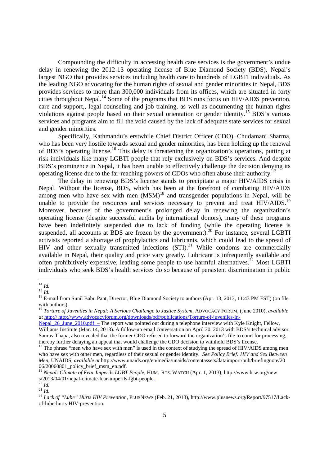Compounding the difficulty in accessing health care services is the government's undue delay in renewing the 2012-13 operating license of Blue Diamond Society (BDS), Nepal's largest NGO that provides services including health care to hundreds of LGBTI individuals. As the leading NGO advocating for the human rights of sexual and gender minorities in Nepal, BDS provides services to more than 300,000 individuals from its offices, which are situated in forty cities throughout Nepal.<sup>14</sup> Some of the programs that BDS runs focus on HIV/AIDS prevention, care and support,, legal counseling and job training, as well as documenting the human rights violations against people based on their sexual orientation or gender identity.<sup>15</sup> BDS's various services and programs aim to fill the void caused by the lack of adequate state services for sexual and gender minorities.

Specifically, Kathmandu's erstwhile Chief District Officer (CDO), Chudamani Sharma, who has been very hostile towards sexual and gender minorities, has been holding up the renewal of BDS's operating license.<sup>16</sup> This delay is threatening the organization's operations, putting at risk individuals like many LGBTI people that rely exclusively on BDS's services. And despite BDS's prominence in Nepal, it has been unable to effectively challenge the decision denying its operating license due to the far-reaching powers of CDOs who often abuse their authority.<sup>1</sup>

The delay in renewing BDS's license stands to precipitate a major HIV/AIDS crisis in Nepal. Without the license, BDS, which has been at the forefront of combating HIV/AIDS among men who have sex with men  $(MSM)^{18}$  and transgender populations in Nepal, will be unable to provide the resources and services necessary to prevent and treat  $HIV/ALDS$ <sup>19</sup> Moreover, because of the government's prolonged delay in renewing the organization's operating license (despite successful audits by international donors), many of these programs have been indefinitely suspended due to lack of funding (while the operating license is suspended, all accounts at BDS are frozen by the government).<sup>20</sup> For instance, several LGBTI activists reported a shortage of prophylactics and lubricants, which could lead to the spread of HIV and other sexually transmitted infections (STI).<sup>21</sup> While condoms are commercially available in Nepal, their quality and price vary greatly. Lubricant is infrequently available and often prohibitively expensive, leading some people to use harmful alternatives.<sup>22</sup> Most LGBTI individuals who seek BDS's health services do so because of persistent discrimination in public

 $^{15}$   $\overline{1d}$ 

<sup>&</sup>lt;u>.</u> <sup>14</sup> *Id.*

<sup>&</sup>lt;sup>16</sup> E-mail from Sunil Babu Pant, Director, Blue Diamond Society to authors (Apr. 13, 2013, 11:43 PM EST) (on file with authors).

<sup>17</sup> *Torture of Juveniles in Nepal: A Serious Challenge to Justice System*, ADVOCACY FORUM, (June 2010), *available at* http:// http://www.advocacyforum.org/downloads/pdf/publications/Torture-of-juveniles-in-

Nepal\_26\_June\_2010.pdf. – The report was pointed out during a telephone interview with Kyle Knight, Fellow, Williams Institute (Mar. 14, 2013). A follow-up email conversation on April 30, 2013 with BDS's technical advisor, Saurav Thapa, also revealed that the former CDO refused to forward the organization's file to court for processing, thereby further delaying an appeal that would challenge the CDO decision to withhold BDS's license.

<sup>&</sup>lt;sup>18</sup> The phrase "men who have sex with men" is used in the context of studying the spread of HIV/AIDS among men who have sex with other men, regardless of their sexual or gender identity. *See Policy Brief: HIV and Sex Between Men*, UNAIDS, *available at* http://www.unaids.org/en/media/unaids/contentassets/dataimport/pub/briefingnote/20  $06/20060801$  policy brief msm\_en.pdf.

<sup>19</sup> *Nepal: Climate of Fear Imperils LGBT People*, HUM. RTS. WATCH (Apr. 1, 2013), http://www.hrw.org/new s/2013/04/01/nepal-climate-fear-imperils-lgbt-people.

<sup>20</sup> *Id.*

 $^{21}$  *Id.* 

<sup>22</sup> *Lack of "Lube" Hurts HIV Prevention*, PLUSNEWS (Feb. 21, 2013), http://www.plusnews.org/Report/97517/Lackof-lube-hurts-HIV-prevention.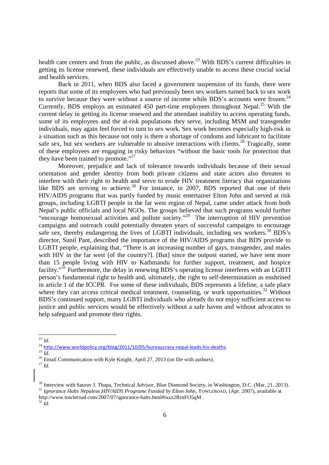health care centers and from the public, as discussed above.<sup>23</sup> With BDS's current difficulties in getting its license renewed, these individuals are effectively unable to access these crucial social and health services.

Back in 2011, when BDS also faced a government suspension of its funds, there were reports that some of its employees who had previously been sex workers turned back to sex work to survive because they were without a source of income while BDS's accounts were frozen.<sup>24</sup> Currently, BDS employs an estimated 450 part-time employees throughout Nepal.<sup>25</sup> With the current delay in getting its license renewed and the attendant inability to access operating funds, some of its employees and the at-risk populations they serve, including MSM and transgender individuals, may again feel forced to turn to sex work. Sex work becomes especially high-risk in a situation such as this because not only is there a shortage of condoms and lubricant to facilitate safe sex, but sex workers are vulnerable to abusive interactions with clients.<sup>26</sup> Tragically, some of these employees are engaging in risky behaviors "without the basic tools for protection that they have been trained to promote."<sup>27</sup>

Moreover, prejudice and lack of tolerance towards individuals because of their sexual orientation and gender identity from both private citizens and state actors also threaten to interfere with their right to health and serve to erode HIV treatment literacy that organizations like BDS are striving to achieve.<sup>28</sup> For instance, in 2007, BDS reported that one of their HIV/AIDS programs that was partly funded by music entertainer Elton John and served at risk groups, including LGBTI people in the far west region of Nepal, came under attack from both Nepal's public officials and local NGOs. The groups believed that such programs would further "encourage homosexual activities and pollute society."<sup>29</sup> The interruption of HIV prevention campaigns and outreach could potentially threaten years of successful campaigns to encourage safe sex, thereby endangering the lives of LGBTI individuals, including sex workers.<sup>30</sup> BDS's director, Sunil Pant, described the importance of the HIV/AIDS programs that BDS provide to LGBTI people, explaining that, "There is an increasing number of gays, transgender, and males with HIV in the far west [of the country?]. [But] since the outpost started, we have sent more than 15 people living with HIV to Kathmandu for further support, treatment, and hospice facility."<sup>31</sup> Furthermore, the delay in renewing BDS's operating license interferes with an LGBTI person's fundamental right to health and, ultimately, the right to self-determination as enshrined in article 1 of the ICCPR. For some of these individuals, BDS represents a lifeline, a safe place where they can access critical medical treatment, counseling, or work opportunities.<sup>32</sup> Without BDS's continued support, many LGBTI individuals who already do not enjoy sufficient access to justice and public services would be effectively without a safe haven and without advocates to help safeguard and promote their rights.

<u>.</u>

 $^{24}$  http://www.worldpolicy.org/blog/2011/10/05/bureaucracy-nepal-leads-hiv-deaths.

 $32 \tilde{I}$ 

<sup>23</sup> *Id.*

 $^{25}$   $\overline{Id}$ .

 $26$  Email Communication with Kyle Knight, April 27, 2013 (on file with authors). <sup>27</sup> *Id.*

<sup>&</sup>lt;sup>30</sup> Interview with Saurav J. Thapa, Technical Advisor, Blue Diamond Society, in Washington, D.C. (Mar. 21, 2013). <sup>31</sup> *Ignorance Halts Nepalese HIV/AIDS Programe Funded by Elton John*, TOWLEROAD, (Apr. 2007), available at http://www.towleroad.com/2007/07/ignorance-halts.html#ixzz2RrnFO5qM .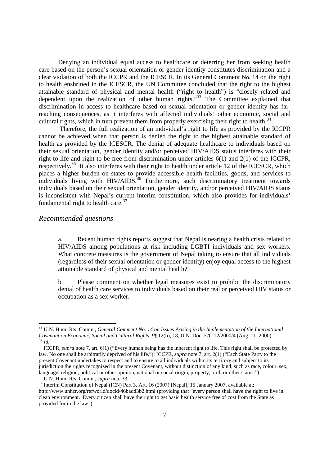Denying an individual equal access to healthcare or deterring her from seeking health care based on the person's sexual orientation or gender identity constitutes discrimination and a clear violation of both the ICCPR and the ICESCR. In its General Comment No. 14 on the right to health enshrined in the ICESCR, the UN Committee concluded that the right to the highest attainable standard of physical and mental health ("right to health") is "closely related and dependent upon the realization of other human rights."<sup>33</sup> The Committee explained that discrimination in access to healthcare based on sexual orientation or gender identity has farreaching consequences, as it interferes with affected individuals' other economic, social and cultural rights, which in turn prevent them from properly exercising their right to health. $34$ 

 Therefore, the full realization of an individual's right to life as provided by the ICCPR cannot be achieved when that person is denied the right to the highest attainable standard of health as provided by the ICESCR. The denial of adequate healthcare to individuals based on their sexual orientation, gender identity and/or perceived HIV/AIDS status interferes with their right to life and right to be free from discrimination under articles 6(1) and 2(1) of the ICCPR, respectively.<sup>35</sup> It also interferes with their right to health under article 12 of the ICESCR, which places a higher burden on states to provide accessible health facilities, goods, and services to  $\frac{1}{2}$  individuals living with HIV/AIDS.<sup>36</sup> Furthermore, such discriminatory treatment towards individuals based on their sexual orientation, gender identity, and/or perceived HIV/AIDS status is inconsistent with Nepal's current interim constitution, which also provides for individuals' fundamental right to health care. $37$ 

#### *Recommended questions*

<u>.</u>

a. Recent human rights reports suggest that Nepal is nearing a health crisis related to HIV/AIDS among populations at risk including LGBTI individuals and sex workers. What concrete measures is the government of Nepal taking to ensure that all individuals (regardless of their sexual orientation or gender identity) enjoy equal access to the highest attainable standard of physical and mental health?

b. Please comment on whether legal measures exist to prohibit the discriminatory denial of health care services to individuals based on their real or perceived HIV status or occupation as a sex worker.

<sup>33</sup> U.N. Hum. Rts. Comm., *General Comment No. 14 on Issues Arising in the Implementation of the International Covenant on Economic, Social and Cultural Rights*, ¶¶ 12(b), 18, U.N. Doc. E/C.12/2000/4 (Aug. 11, 2000). *<sup>34</sup> Id.*

<sup>&</sup>lt;sup>35</sup> ICCPR, *supra* note 7, art. 6(1) ("Every human being has the inherent right to life. This right shall be protected by law. No one shall be arbitrarily deprived of his life."); ICCPR, *supra* note 7, art. 2(1) ("Each State Party to the present Covenant undertakes to respect and to ensure to all individuals within its territory and subject to its jurisdiction the rights recognized in the present Covenant, without distinction of any kind, such as race, colour, sex, language, religion, political or other opinion, national or social origin, property, birth or other status.") <sup>36</sup> U.N. Hum. Rts. Comm., *supra* note 33.

<sup>&</sup>lt;sup>37</sup> Interim Constitution of Nepal (ICN) Part 3, Art. 16 (2007) [Nepal], 15 January 2007, available at: http://www.unhcr.org/refworld/docid/46badd3b2.html (providing that "every person shall have the right to live in clean environment. Every citizen shall have the right to get basic health service free of cost from the State as provided for in the law").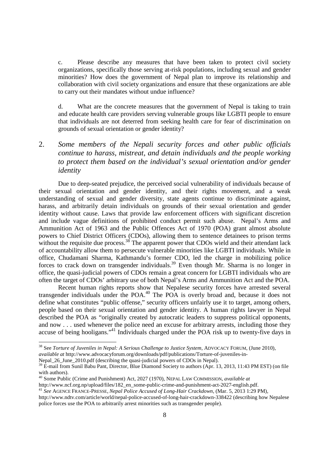c. Please describe any measures that have been taken to protect civil society organizations, specifically those serving at-risk populations, including sexual and gender minorities? How does the government of Nepal plan to improve its relationship and collaboration with civil society organizations and ensure that these organizations are able to carry out their mandates without undue influence?

d. What are the concrete measures that the government of Nepal is taking to train and educate health care providers serving vulnerable groups like LGBTI people to ensure that individuals are not deterred from seeking health care for fear of discrimination on grounds of sexual orientation or gender identity?

2. *Some members of the Nepali security forces and other public officials continue to harass, mistreat, and detain individuals and the people working to protect them based on the individual's sexual orientation and/or gender identity* 

 Due to deep-seated prejudice, the perceived social vulnerability of individuals because of their sexual orientation and gender identity, and their rights movement, and a weak understanding of sexual and gender diversity, state agents continue to discriminate against, harass, and arbitrarily detain individuals on grounds of their sexual orientation and gender identity without cause. Laws that provide law enforcement officers with significant discretion and include vague definitions of prohibited conduct permit such abuse. Nepal's Arms and Ammunition Act of 1963 and the Public Offences Act of 1970 (POA) grant almost absolute powers to Chief District Officers (CDOs), allowing them to sentence detainees to prison terms without the requisite due process.<sup>38</sup> The apparent power that CDOs wield and their attendant lack of accountability allow them to persecute vulnerable minorities like LGBTI individuals. While in office, Chudamani Sharma, Kathmandu's former CDO, led the charge in mobilizing police forces to crack down on transgender individuals.<sup>39</sup> Even though Mr. Sharma is no longer in office, the quasi-judicial powers of CDOs remain a great concern for LGBTI individuals who are often the target of CDOs' arbitrary use of both Nepal's Arms and Ammunition Act and the POA.

Recent human rights reports show that Nepalese security forces have arrested several transgender individuals under the POA.<sup>40</sup> The POA is overly broad and, because it does not define what constitutes "public offense," security officers unfairly use it to target, among others, people based on their sexual orientation and gender identity. A human rights lawyer in Nepal described the POA as "originally created by autocratic leaders to suppress political opponents, and now . . . used whenever the police need an excuse for arbitrary arrests, including those they accuse of being hooligans."<sup>41</sup> Individuals charged under the POA risk up to twenty-five days in

<u>.</u>

http://www.ncf.org.np/upload/files/182\_en\_some-public-crime-and-punishment-act-2027-english.pdf.

<sup>38</sup> See *Torture of Juveniles in Nepal: A Serious Challenge to Justice System*, ADVOCACY FORUM, (June 2010), *available at* http://www.advocacyforum.org/downloads/pdf/publications/Torture-of-juveniles-in-

Nepal\_26\_June\_2010.pdf (describing the quasi-judicial powers of CDOs in Nepal).

 $39$  E-mail from Sunil Babu Pant, Director, Blue Diamond Society to authors (Apr. 13, 2013, 11:43 PM EST) (on file with authors)

<sup>40</sup> Some Public (Crime and Punishment) Act, 2027 (1970), NEPAL LAW COMMISSION, *available at*

<sup>41</sup> *See* AGENCE FRANCE-PRESSE, *Nepal Police Accused of Long-Hair Crackdown*, (Mar. 5, 2013 1:29 PM), http://www.ndtv.com/article/world/nepal-police-accused-of-long-hair-crackdown-338422 (describing how Nepalese

police forces use the POA to arbitrarily arrest minorities such as transgender people).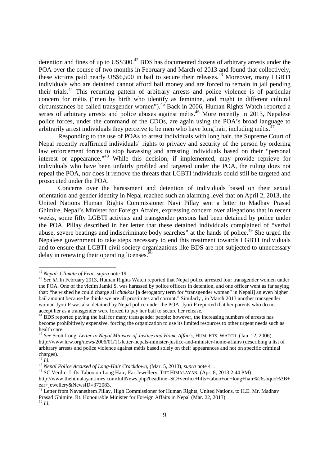detention and fines of up to US\$300.<sup>42</sup> BDS has documented dozens of arbitrary arrests under the POA over the course of two months in February and March of 2013 and found that collectively, these victims paid nearly US\$6,500 in bail to secure their releases.<sup>43</sup> Moreover, many LGBTI individuals who are detained cannot afford bail money and are forced to remain in jail pending their trials.<sup>44</sup> This recurring pattern of arbitrary arrests and police violence is of particular concern for métis ("men by birth who identify as feminine, and might in different cultural circumstances be called transgender women").<sup>45</sup> Back in 2006, Human Rights Watch reported a series of arbitrary arrests and police abuses against métis.<sup>46</sup> More recently in 2013, Nepalese police forces, under the command of the CDOs, are again using the POA's broad language to arbitrarily arrest individuals they perceive to be men who have long hair, including métis.<sup>47</sup>

Responding to the use of POAs to arrest individuals with long hair, the Supreme Court of Nepal recently reaffirmed individuals' rights to privacy and security of the person by ordering law enforcement forces to stop harassing and arresting individuals based on their "personal interest or appearance."<sup>48</sup> While this decision, if implemented, may provide reprieve for individuals who have been unfairly profiled and targeted under the POA, the ruling does not repeal the POA, nor does it remove the threats that LGBTI individuals could still be targeted and prosecuted under the POA.

Concerns over the harassment and detention of individuals based on their sexual orientation and gender identity in Nepal reached such an alarming level that on April 2, 2013, the United Nations Human Rights Commissioner Navi Pillay sent a letter to Madhav Prasad Ghimire, Nepal's Minister for Foreign Affairs, expressing concern over allegations that in recent weeks, some fifty LGBTI activists and transgender persons had been detained by police under the POA. Pillay described in her letter that these detained individuals complained of "verbal abuse, severe beatings and indiscriminate body searches" at the hands of police.<sup>49</sup> She urged the Nepalese government to take steps necessary to end this treatment towards LGBTI individuals and to ensure that LGBTI civil society organizations like BDS are not subjected to unnecessary delay in renewing their operating licenses. $\frac{50}{9}$ 

.<br>-

<sup>42</sup> *Nepal: Climate of Fear*, *supra* note 19.

<sup>&</sup>lt;sup>43</sup> See id. In February 2013, Human Rights Watch reported that Nepal police arrested four transgender women under the POA. One of the victim Jamki S. was harassed by police officers in detention, and one officer went as far saying that: "he wished he could charge all *chakkas* [a derogatory term for "transgender woman" in Nepali] an even higher bail amount because he thinks we are all prostitutes and corrupt." Similarly, in March 2013 another transgender woman Jyoti P was also detained by Nepal police under the POA. Jyoti P reported that her parents who do not accept her as a transgender were forced to pay her bail to secure her release.

<sup>&</sup>lt;sup>44</sup> BDS reported paying the bail for many transgender people; however, the increasing numbers of arrests has become prohibitively expensive, forcing the organization to use its limited resources to other urgent needs such as health care.

<sup>45</sup> *See* Scott Long, *Letter to Nepal Minister of Justice and Home Affairs*, HUM. RTS. WATCH, (Jan. 12, 2006) http://www.hrw.org/news/2006/01/11/letter-nepals-minister-justice-and-minister-home-affairs (describing a list of arbitrary arrests and police violence against métis based solely on their appearances and not on specific criminal charges).

<sup>46</sup> *Id.*

<sup>47</sup> *Nepal Police Accused of Long-Hair Crackdown*, (Mar. 5, 2013), *supra* note 41.

<sup>48</sup> SC Verdict Lifts Taboo on Long Hair' Ear Jewellery, THE HIMALAYAN, (Apr. 8, 2013 2:44 PM)

http://www.thehimalayantimes.com/fullNews.php?headline=SC+verdict+lifts+taboo+on+long+hair%26sbquo%3B+ ear+jewellery&NewsID=372083.

<sup>&</sup>lt;sup>49</sup> Letter from Navanethem Pillay, High Commissioner for Human Rights, United Nations, to H.E. Mr. Madhav Prasad Ghimire, Rt. Honourable Minister for Foreign Affairs in Nepal (Mar. 22, 2013). <sup>50</sup> *Id.*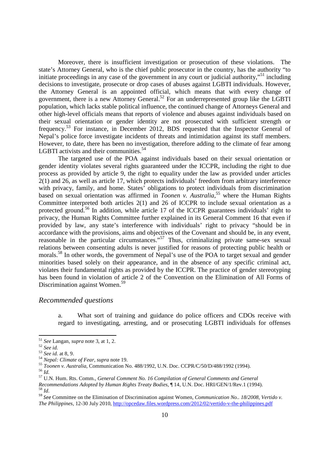Moreover, there is insufficient investigation or prosecution of these violations. The state's Attorney General, who is the chief public prosecutor in the country, has the authority "to initiate proceedings in any case of the government in any court or judicial authority,"<sup>51</sup> including decisions to investigate, prosecute or drop cases of abuses against LGBTI individuals. However, the Attorney General is an appointed official, which means that with every change of government, there is a new Attorney General.<sup>52</sup> For an underrepresented group like the LGBTI population, which lacks stable political influence, the continued change of Attorneys General and other high-level officials means that reports of violence and abuses against individuals based on their sexual orientation or gender identity are not prosecuted with sufficient strength or frequency.<sup>53</sup> For instance, in December 2012, BDS requested that the Inspector General of Nepal's police force investigate incidents of threats and intimidation against its staff members. However, to date, there has been no investigation, therefore adding to the climate of fear among LGBTI activists and their communities.<sup>54</sup>

The targeted use of the POA against individuals based on their sexual orientation or gender identity violates several rights guaranteed under the ICCPR, including the right to due process as provided by article 9, the right to equality under the law as provided under articles 2(1) and 26, as well as article 17, which protects individuals' freedom from arbitrary interference with privacy, family, and home. States' obligations to protect individuals from discrimination based on sexual orientation was affirmed in *Toonen v. Australia*, <sup>55</sup> where the Human Rights Committee interpreted both articles 2(1) and 26 of ICCPR to include sexual orientation as a protected ground.<sup>56</sup> In addition, while article 17 of the ICCPR guarantees individuals' right to privacy, the Human Rights Committee further explained in its General Comment 16 that even if provided by law, any state's interference with individuals' right to privacy "should be in accordance with the provisions, aims and objectives of the Covenant and should be, in any event, reasonable in the particular circumstances.<sup>57</sup> Thus, criminalizing private same-sex sexual relations between consenting adults is never justified for reasons of protecting public health or morals.<sup>58</sup> In other words, the government of Nepal's use of the POA to target sexual and gender minorities based solely on their appearance, and in the absence of any specific criminal act, violates their fundamental rights as provided by the ICCPR. The practice of gender stereotyping has been found in violation of article 2 of the Convention on the Elimination of All Forms of Discrimination against Women.<sup>5</sup>

#### *Recommended questions*

a. What sort of training and guidance do police officers and CDOs receive with regard to investigating, arresting, and or prosecuting LGBTI individuals for offenses

<sup>51</sup> *See* Langan, *supra* note 3, at 1, 2.

<sup>52</sup> *See id.*

<sup>53</sup> *See id.* at 8, 9.

<sup>54</sup> *Nepal: Climate of Fear*, *supra* note 19.

<sup>55</sup> *Toonen v. Australia*, Communication No. 488/1992, U.N. Doc. CCPR/C/50/D/488/1992 (1994).

<sup>56</sup> *Id.*

<sup>57</sup> U.N. Hum. Rts. Comm., *General Comment No. 16 Compilation of General Comments and General Recommendations Adopted by Human Rights Treaty Bodies*, ¶ 14, U.N. Doc. HRI/GEN/1/Rev.1 (1994). <sup>58</sup> *Id*.

<sup>59</sup> *See* Committee on the Elimination of Discrimination against Women, *Communication No.. 18/2008, Vertido v. The Philippines*, 12-30 July 2010, http://opcedaw.files.wordpress.com/2012/02/vertido-v-the-philippines.pdf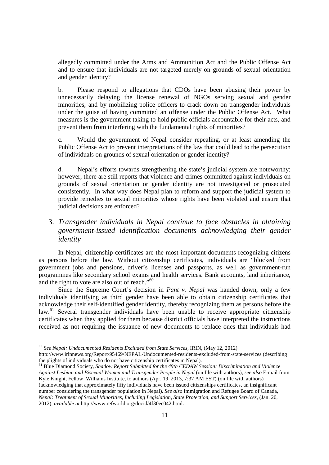allegedly committed under the Arms and Ammunition Act and the Public Offense Act and to ensure that individuals are not targeted merely on grounds of sexual orientation and gender identity?

b. Please respond to allegations that CDOs have been abusing their power by unnecessarily delaying the license renewal of NGOs serving sexual and gender minorities, and by mobilizing police officers to crack down on transgender individuals under the guise of having committed an offense under the Public Offense Act. What measures is the government taking to hold public officials accountable for their acts, and prevent them from interfering with the fundamental rights of minorities?

c. Would the government of Nepal consider repealing, or at least amending the Public Offense Act to prevent interpretations of the law that could lead to the persecution of individuals on grounds of sexual orientation or gender identity?

d. Nepal's efforts towards strengthening the state's judicial system are noteworthy; however, there are still reports that violence and crimes committed against individuals on grounds of sexual orientation or gender identity are not investigated or prosecuted consistently. In what way does Nepal plan to reform and support the judicial system to provide remedies to sexual minorities whose rights have been violated and ensure that judicial decisions are enforced?

# 3. *Transgender individuals in Nepal continue to face obstacles in obtaining government-issued identification documents acknowledging their gender identity*

In Nepal, citizenship certificates are the most important documents recognizing citizens as persons before the law. Without citizenship certificates, individuals are "blocked from government jobs and pensions, driver's licenses and passports, as well as government-run programmes like secondary school exams and health services. Bank accounts, land inheritance, and the right to vote are also out of reach."<sup>60</sup>

Since the Supreme Court's decision in *Pant v. Nepal* was handed down, only a few individuals identifying as third gender have been able to obtain citizenship certificates that acknowledge their self-identified gender identity, thereby recognizing them as persons before the law.<sup>61</sup> Several transgender individuals have been unable to receive appropriate citizenship certificates when they applied for them because district officials have interpreted the instructions received as not requiring the issuance of new documents to replace ones that individuals had

<sup>60</sup> *See Nepal: Undocumented Residents Excluded from State Services,* IRIN, (May 12, 2012) http://www.irinnews.org/Report/95469/NEPAL-Undocumented-residents-excluded-from-state-services (describing the plights of individuals who do not have citizenship certificates in Nepal).

<sup>61</sup> Blue Diamond Society, *Shadow Report Submitted for the 49th CEDAW Session: Discrimination and Violence Against Lesbian and Bisexual Women and Transgender People in Nepal* (on file with authors); *see also* E-mail from Kyle Knight, Fellow, Williams Institute, to authors (Apr. 19, 2013, 7:37 AM EST) (on file with authors) (acknowledging that approximately fifty individuals have been issued citizenships certificates, an insignificant number considering the transgender population in Nepal). *See also* Immigration and Refugee Board of Canada, *Nepal: Treatment of Sexual Minorities, Including Legislation, State Protection, and Support Services*, (Jan. 20, 2012), *available at* http://www.refworld.org/docid/4f30ec042.html.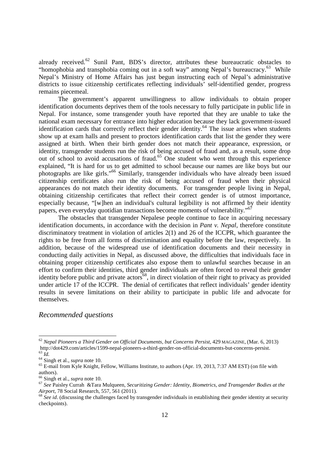already received.<sup>62</sup> Sunil Pant, BDS's director, attributes these bureaucratic obstacles to "homophobia and transphobia coming out in a soft way" among Nepal's bureaucracy. $^{63}$  While Nepal's Ministry of Home Affairs has just begun instructing each of Nepal's administrative districts to issue citizenship certificates reflecting individuals' self-identified gender, progress remains piecemeal.

The government's apparent unwillingness to allow individuals to obtain proper identification documents deprives them of the tools necessary to fully participate in public life in Nepal. For instance, some transgender youth have reported that they are unable to take the national exam necessary for entrance into higher education because they lack government-issued identification cards that correctly reflect their gender identity.<sup>64</sup> The issue arises when students show up at exam halls and present to proctors identification cards that list the gender they were assigned at birth. When their birth gender does not match their appearance, expression, or identity, transgender students run the risk of being accused of fraud and, as a result, some drop out of school to avoid accusations of fraud.<sup>65</sup> One student who went through this experience explained, "It is hard for us to get admitted to school because our names are like boys but our photographs are like girls."<sup>66</sup> Similarly, transgender individuals who have already been issued citizenship certificates also run the risk of being accused of fraud when their physical appearances do not match their identity documents. For transgender people living in Nepal, obtaining citizenship certificates that reflect their correct gender is of utmost importance, especially because, "[w]hen an individual's cultural legibility is not affirmed by their identity papers, even everyday quotidian transactions become moments of vulnerability."<sup>67</sup>

The obstacles that transgender Nepalese people continue to face in acquiring necessary identification documents, in accordance with the decision in *Pant v. Nepal*, therefore constitute discriminatory treatment in violation of articles 2(1) and 26 of the ICCPR, which guarantee the rights to be free from all forms of discrimination and equality before the law, respectively. In addition, because of the widespread use of identification documents and their necessity in conducting daily activities in Nepal, as discussed above, the difficulties that individuals face in obtaining proper citizenship certificates also expose them to unlawful searches because in an effort to confirm their identities, third gender individuals are often forced to reveal their gender identity before public and private actors<sup>68</sup>, in direct violation of their right to privacy as provided under article 17 of the ICCPR. The denial of certificates that reflect individuals' gender identity results in severe limitations on their ability to participate in public life and advocate for themselves.

# *Recommended questions*

<sup>62</sup> *Nepal Pioneers a Third Gender on Official Documents, but Concerns Persist*, 429 MAGAZINE, (Mar. 6, 2013) http://dot429.com/articles/1599-nepal-pioneers-a-third-gender-on-official-documents-but-concerns-persist. <sup>63</sup> *Id.*

<sup>64</sup> Singh et al., *supra* note 10.

<sup>&</sup>lt;sup>65</sup> E-mail from Kyle Knight, Fellow, Williams Institute, to authors (Apr. 19, 2013, 7:37 AM EST) (on file with authors).

<sup>66</sup> Singh et al., *supra* note 10.

<sup>67</sup> *See* Paisley Currah &Tara Mulqueen, *Securitizing Gender: Identity, Biometrics, and Transgender Bodies at the Airport*, 78 Social Research, 557, 561 (2011).

<sup>&</sup>lt;sup>68</sup> See *id*. (discussing the challenges faced by transgender individuals in establishing their gender identity at security checkpoints).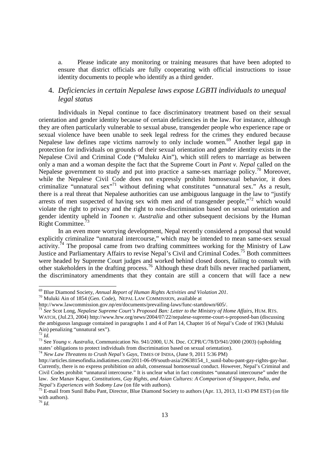a. Please indicate any monitoring or training measures that have been adopted to ensure that district officials are fully cooperating with official instructions to issue identity documents to people who identify as a third gender.

# 4. *Deficiencies in certain Nepalese laws expose LGBTI individuals to unequal legal status*

Individuals in Nepal continue to face discriminatory treatment based on their sexual orientation and gender identity because of certain deficiencies in the law. For instance, although they are often particularly vulnerable to sexual abuse, transgender people who experience rape or sexual violence have been unable to seek legal redress for the crimes they endured because Nepalese law defines rape victims narrowly to only include women.<sup>69</sup> Another legal gap in protection for individuals on grounds of their sexual orientation and gender identity exists in the Nepalese Civil and Criminal Code ("Muluku Ain"), which still refers to marriage as between only a man and a woman despite the fact that the Supreme Court in *Pant v. Nepal* called on the Nepalese government to study and put into practice a same-sex marriage policy.<sup>70</sup> Moreover, while the Nepalese Civil Code does not expressly prohibit homosexual behavior, it does criminalize "unnatural sex"<sup>71</sup> without defining what constitutes "unnatural sex." As a result, there is a real threat that Nepalese authorities can use ambiguous language in the law to "justify arrests of men suspected of having sex with men and of transgender people,"<sup>72</sup> which would violate the right to privacy and the right to non-discrimination based on sexual orientation and gender identity upheld in *Toonen v. Australia* and other subsequent decisions by the Human Right Committee.

In an even more worrying development, Nepal recently considered a proposal that would explicitly criminalize "unnatural intercourse," which may be intended to mean same-sex sexual activity.<sup>74</sup> The proposal came from two drafting committees working for the Ministry of Law Justice and Parliamentary Affairs to revise Nepal's Civil and Criminal Codes.<sup>75</sup> Both committees were headed by Supreme Court judges and worked behind closed doors, failing to consult with other stakeholders in the drafting process.<sup>76</sup> Although these draft bills never reached parliament, the discriminatory amendments that they contain are still a concern that will face a new

<sup>69</sup> Blue Diamond Society, *Annual Report of Human Rights Activities and Violation 201*.

<sup>70</sup> Muluki Ain of 1854 (Gen. Code), NEPAL LAW COMMISSION, available at

http://www.lawcommission.gov.np/en/documents/prevailing-laws/func-startdown/605/.

<sup>71</sup> *See* Scot Long, *Nepalese Supreme Court's Proposed Ban: Letter to the Ministry of Home Affairs*, HUM. RTS. WATCH, (Jul.23, 2004) http://www.hrw.org/news/2004/07/22/nepalese-supreme-court-s-proposed-ban (discussing the ambiguous language contained in paragraphs 1 and 4 of Part 14, Chapter 16 of Nepal's Code of 1963 (Muluki Ain) penalizing "unnatural sex").

<sup>72</sup> *Id.*

<sup>73</sup> See *Young v. Australia*, Communication No. 941/2000, U.N. Doc. CCPR/C/78/D/941/2000 (2003) (upholding states' obligations to protect individuals from discrimination based on sexual orientation).

<sup>74</sup> *New Law Threatens to Crush Nepal's Gays*, TIMES OF INDIA, (June 9, 2011 5:36 PM)

http://articles.timesofindia.indiatimes.com/2011-06-09/south-asia/29638154\_1\_sunil-babu-pant-gay-rights-gay-bar. Currently, there is no express prohibition on adult, consensual homosexual conduct. However, Nepal's Criminal and Civil Codes prohibit "unnatural intercourse." It is unclear what in fact constitutes "unnatural intercourse" under the law. *See* Manav Kapur, *Constitutions, Gay Rights, and Asian Cultures: A Comparison of Singapore, India, and Nepal's Experiences with Sodomy Law* (on file with authors).

<sup>&</sup>lt;sup>75</sup> E-mail from Sunil Babu Pant, Director, Blue Diamond Society to authors (Apr. 13, 2013, 11:43 PM EST) (on file with authors).

<sup>76</sup> *Id.*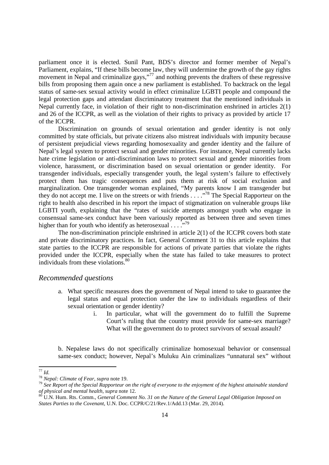parliament once it is elected. Sunil Pant, BDS's director and former member of Nepal's Parliament, explains, "If these bills become law, they will undermine the growth of the gay rights movement in Nepal and criminalize gays,"<sup>77</sup> and nothing prevents the drafters of these regressive bills from proposing them again once a new parliament is established. To backtrack on the legal status of same-sex sexual activity would in effect criminalize LGBTI people and compound the legal protection gaps and attendant discriminatory treatment that the mentioned individuals in Nepal currently face, in violation of their right to non-discrimination enshrined in articles 2(1) and 26 of the ICCPR, as well as the violation of their rights to privacy as provided by article 17 of the ICCPR.

Discrimination on grounds of sexual orientation and gender identity is not only committed by state officials, but private citizens also mistreat individuals with impunity because of persistent prejudicial views regarding homosexuality and gender identity and the failure of Nepal's legal system to protect sexual and gender minorities. For instance, Nepal currently lacks hate crime legislation or anti-discrimination laws to protect sexual and gender minorities from violence, harassment, or discrimination based on sexual orientation or gender identity. For transgender individuals, especially transgender youth, the legal system's failure to effectively protect them has tragic consequences and puts them at risk of social exclusion and marginalization. One transgender woman explained, "My parents know I am transgender but they do not accept me. I live on the streets or with friends . . . .<sup>78</sup> The Special Rapporteur on the right to health also described in his report the impact of stigmatization on vulnerable groups like LGBTI youth, explaining that the "rates of suicide attempts amongst youth who engage in consensual same-sex conduct have been variously reported as between three and seven times higher than for youth who identify as heterosexual  $\ldots$ .<sup>79</sup>

The non-discrimination principle enshrined in article 2(1) of the ICCPR covers both state and private discriminatory practices. In fact, General Comment 31 to this article explains that state parties to the ICCPR are responsible for actions of private parties that violate the rights provided under the ICCPR, especially when the state has failed to take measures to protect individuals from these violations. $80$ 

#### *Recommended questions*

- a. What specific measures does the government of Nepal intend to take to guarantee the legal status and equal protection under the law to individuals regardless of their sexual orientation or gender identity?
	- i. In particular, what will the government do to fulfill the Supreme Court's ruling that the country must provide for same-sex marriage? What will the government do to protect survivors of sexual assault?

b. Nepalese laws do not specifically criminalize homosexual behavior or consensual same-sex conduct; however, Nepal's Muluku Ain criminalizes "unnatural sex" without

<sup>77</sup> *Id.*

<sup>78</sup> *Nepal: Climate of Fear*, *supra* note 19.

<sup>79</sup> *See Report of the Special Rapporteur on the right of everyone to the enjoyment of the highest attainable standard of physical and mental health, supra* note 12.

<sup>80</sup> U.N. Hum. Rts. Comm., *General Comment No. 31 on the Nature of the General Legal Obligation Imposed on States Parties to the Covenant*, U.N. Doc. CCPR/C/21/Rev.1/Add.13 (Mar. 29, 2014).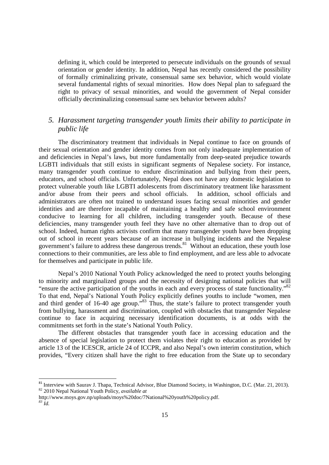defining it, which could be interpreted to persecute individuals on the grounds of sexual orientation or gender identity. In addition, Nepal has recently considered the possibility of formally criminalizing private, consensual same sex behavior, which would violate several fundamental rights of sexual minorities. How does Nepal plan to safeguard the right to privacy of sexual minorities, and would the government of Nepal consider officially decriminalizing consensual same sex behavior between adults?

# *5. Harassment targeting transgender youth limits their ability to participate in public life*

The discriminatory treatment that individuals in Nepal continue to face on grounds of their sexual orientation and gender identity comes from not only inadequate implementation of and deficiencies in Nepal's laws, but more fundamentally from deep-seated prejudice towards LGBTI individuals that still exists in significant segments of Nepalese society. For instance, many transgender youth continue to endure discrimination and bullying from their peers, educators, and school officials. Unfortunately, Nepal does not have any domestic legislation to protect vulnerable youth like LGBTI adolescents from discriminatory treatment like harassment and/or abuse from their peers and school officials. In addition, school officials and administrators are often not trained to understand issues facing sexual minorities and gender identities and are therefore incapable of maintaining a healthy and safe school environment conducive to learning for all children, including transgender youth. Because of these deficiencies, many transgender youth feel they have no other alternative than to drop out of school. Indeed, human rights activists confirm that many transgender youth have been dropping out of school in recent years because of an increase in bullying incidents and the Nepalese government's failure to address these dangerous trends.<sup>81</sup> Without an education, these youth lose connections to their communities, are less able to find employment, and are less able to advocate for themselves and participate in public life.

Nepal's 2010 National Youth Policy acknowledged the need to protect youths belonging to minority and marginalized groups and the necessity of designing national policies that will "ensure the active participation of the youths in each and every process of state functionality."<sup>82</sup> To that end, Nepal's National Youth Policy explicitly defines youths to include "women, men and third gender of 16-40 age group."<sup>83</sup> Thus, the state's failure to protect transgender youth from bullying, harassment and discrimination, coupled with obstacles that transgender Nepalese continue to face in acquiring necessary identification documents, is at odds with the commitments set forth in the state's National Youth Policy.

The different obstacles that transgender youth face in accessing education and the absence of special legislation to protect them violates their right to education as provided by article 13 of the ICESCR, article 24 of ICCPR, and also Nepal's own interim constitution, which provides, "Every citizen shall have the right to free education from the State up to secondary

<sup>&</sup>lt;sup>81</sup> Interview with Saurav J. Thapa, Technical Advisor, Blue Diamond Society, in Washington, D.C. (Mar. 21, 2013). <sup>82</sup> 2010 Nepal National Youth Policy, *available at*

http://www.moys.gov.np/uploads/moys%20doc/7National%20youth%20policy.pdf. *<sup>83</sup> Id.*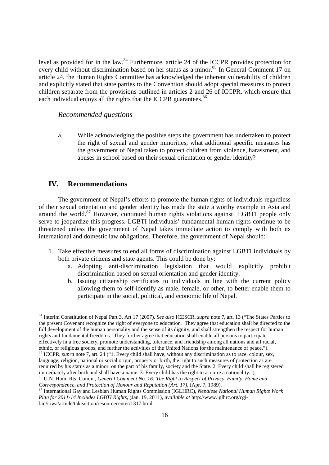level as provided for in the law.<sup>84</sup> Furthermore, article 24 of the ICCPR provides protection for every child without discrimination based on her status as a minor.<sup>85</sup> In General Comment 17 on article 24, the Human Rights Committee has acknowledged the inherent vulnerability of children and explicitly stated that state parties to the Convention should adopt special measures to protect children separate from the provisions outlined in articles 2 and 26 of ICCPR, which ensure that each individual enjoys all the rights that the ICCPR guarantees.<sup>86</sup>

#### *Recommended questions*

a. While acknowledging the positive steps the government has undertaken to protect the right of sexual and gender minorities, what additional specific measures has the government of Nepal taken to protect children from violence, harassment, and abuses in school based on their sexual orientation or gender identity?

## **IV. Recommendations**

.<br>-

The government of Nepal's efforts to promote the human rights of individuals regardless of their sexual orientation and gender identity has made the state a worthy example in Asia and around the world. $87$  However, continued human rights violations against LGBTI people only serve to jeopardize this progress. LGBTI individuals' fundamental human rights continue to be threatened unless the government of Nepal takes immediate action to comply with both its international and domestic law obligations. Therefore, the government of Nepal should:

- 1. Take effective measures to end all forms of discrimination against LGBTI individuals by both private citizens and state agents. This could be done by:
	- a. Adopting anti-discrimination legislation that would explicitly prohibit discrimination based on sexual orientation and gender identity.
	- b. Issuing citizenship certificates to individuals in line with the current policy allowing them to self-identify as male, female, or other, to better enable them to participate in the social, political, and economic life of Nepal.

<sup>86</sup> U.N. Hum. Rts. Comm., *General Comment No. 16: The Right to Respect of Privacy, Family, Home and Correspondence, and Protection of Honour and Reputation (Art. 17)*, (Apr. 7, 1989).

<sup>84</sup> Interim Constitution of Nepal Part 3, Art 17 (2007). *See also* ICESCR, *supra* note 7, art. 13 ("The States Parties to the present Covenant recognize the right of everyone to education. They agree that education shall be directed to the full development of the human personality and the sense of its dignity, and shall strengthen the respect for human rights and fundamental freedoms. They further agree that education shall enable all persons to participate effectively in a free society, promote understanding, tolerance, and friendship among all nations and all racial, ethnic, or religious groups, and further the activities of the United Nations for the maintenance of peace."). <sup>85</sup> ICCPR, *supra* note 7, art. 24 ("1. Every child shall have, without any discrimination as to race, colour, sex,

language, religion, national or social origin, property or birth, the right to such measures of protection as are required by his status as a minor, on the part of his family, society and the State. 2. Every child shall be registered immediately after birth and shall have a name. 3. Every child has the right to acquire a nationality.")

<sup>87</sup> International Gay and Lesbian Human Rights Commission (IGLHRC), *Nepalese National Human Rights Work Plan for 2011-14 Includes LGBTI Rights*, (Jan. 19, 2011), *available at* http://www.iglhrc.org/cgibin/iowa/article/takeaction/resourcecenter/1317.html.